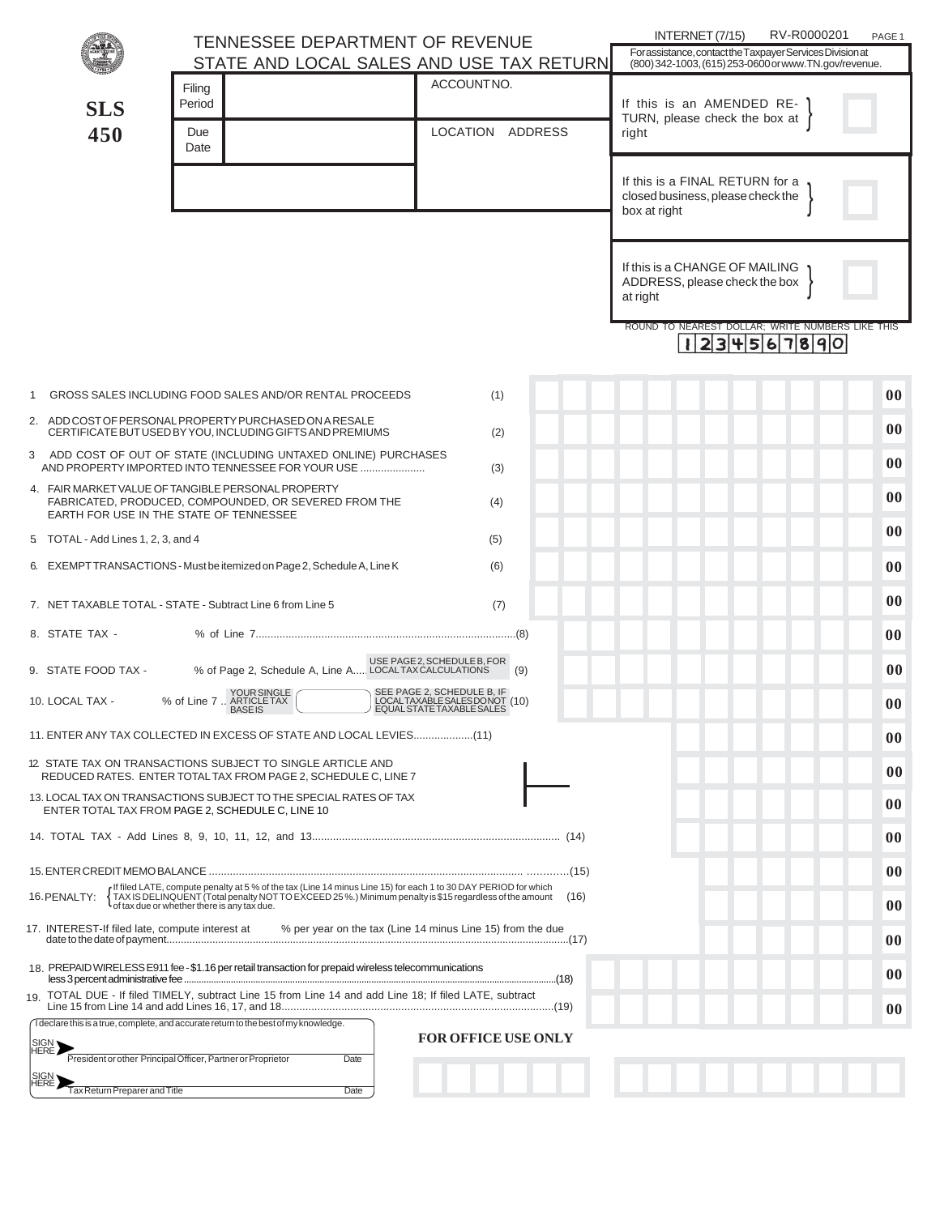|                                                                                                                                                                                                                                                                                                | <b>TENNESSEE DEPARTMENT OF REVENUE</b>                                                                                                                      |                                                                                         | INTERNET (7/15)<br>RV-R0000201<br>PAGE 1                                                                           |  |
|------------------------------------------------------------------------------------------------------------------------------------------------------------------------------------------------------------------------------------------------------------------------------------------------|-------------------------------------------------------------------------------------------------------------------------------------------------------------|-----------------------------------------------------------------------------------------|--------------------------------------------------------------------------------------------------------------------|--|
|                                                                                                                                                                                                                                                                                                |                                                                                                                                                             | STATE AND LOCAL SALES AND USE TAX RETURN                                                | For assistance, contact the Taxpayer Services Division at<br>(800) 342-1003, (615) 253-0600 or www.TN.gov/revenue. |  |
| <b>SLS</b>                                                                                                                                                                                                                                                                                     | Filing<br>Period                                                                                                                                            | ACCOUNTNO.                                                                              | If this is an AMENDED RE-<br>TURN, please check the box at                                                         |  |
| 450                                                                                                                                                                                                                                                                                            | LOCATION ADDRESS<br>Due<br>Date                                                                                                                             |                                                                                         | right                                                                                                              |  |
|                                                                                                                                                                                                                                                                                                |                                                                                                                                                             |                                                                                         | If this is a FINAL RETURN for a<br>closed business, please check the<br>box at right                               |  |
|                                                                                                                                                                                                                                                                                                |                                                                                                                                                             |                                                                                         |                                                                                                                    |  |
|                                                                                                                                                                                                                                                                                                |                                                                                                                                                             |                                                                                         | If this is a CHANGE OF MAILING<br>ADDRESS, please check the box<br>at right                                        |  |
|                                                                                                                                                                                                                                                                                                |                                                                                                                                                             |                                                                                         | ROUND TO NEAREST DOLLAR; WRITE NUMBERS LIKE THIS<br>$ 23 $ 4567890                                                 |  |
|                                                                                                                                                                                                                                                                                                | GROSS SALES INCLUDING FOOD SALES AND/OR RENTAL PROCEEDS                                                                                                     | (1)                                                                                     | $00\,$                                                                                                             |  |
|                                                                                                                                                                                                                                                                                                | 2. ADD COST OF PERSONAL PROPERTY PURCHASED ON A RESALE<br>CERTIFICATE BUT USED BY YOU, INCLUDING GIFTS AND PREMIUMS                                         | (2)                                                                                     | $00\,$                                                                                                             |  |
| 3 ADD COST OF OUT OF STATE (INCLUDING UNTAXED ONLINE) PURCHASES<br>AND PROPERTY IMPORTED INTO TENNESSEE FOR YOUR USE<br>(3)                                                                                                                                                                    |                                                                                                                                                             |                                                                                         |                                                                                                                    |  |
|                                                                                                                                                                                                                                                                                                | 4. FAIR MARKET VALUE OF TANGIBLE PERSONAL PROPERTY<br>FABRICATED, PRODUCED, COMPOUNDED, OR SEVERED FROM THE<br>EARTH FOR USE IN THE STATE OF TENNESSEE      | (4)                                                                                     | 00                                                                                                                 |  |
| 5 TOTAL - Add Lines 1, 2, 3, and 4                                                                                                                                                                                                                                                             |                                                                                                                                                             | (5)                                                                                     | 00                                                                                                                 |  |
|                                                                                                                                                                                                                                                                                                | 6. EXEMPT TRANSACTIONS - Must be itemized on Page 2, Schedule A, Line K                                                                                     | (6)                                                                                     | 00                                                                                                                 |  |
|                                                                                                                                                                                                                                                                                                | 7. NET TAXABLE TOTAL - STATE - Subtract Line 6 from Line 5                                                                                                  | (7)                                                                                     | 00                                                                                                                 |  |
| 8. STATE TAX -                                                                                                                                                                                                                                                                                 |                                                                                                                                                             |                                                                                         | 00                                                                                                                 |  |
| 9. STATE FOOD TAX -                                                                                                                                                                                                                                                                            | USE PAGE2, SCHEDULE B, FOR<br>LOCAL TAX CALCULATIONS 100 % of Page 2, Schedule A, Line A LOCAL TAX CALCULATIONS                                             | (9)                                                                                     | $00\,$                                                                                                             |  |
| 10. LOCAL TAX -                                                                                                                                                                                                                                                                                | % of Line 7  ARTICLE TAX<br><b>BASEIS</b>                                                                                                                   | SEE PAGE 2, SCHEDULE B, IF<br>LOCALTAXABLE SALESDONOT (10)<br>EQUAL STATE TAXABLE SALES | 00                                                                                                                 |  |
| 11) ENTER ANY TAX COLLECTED IN EXCESS OF STATE AND LOCAL LEVIES(11)                                                                                                                                                                                                                            |                                                                                                                                                             |                                                                                         |                                                                                                                    |  |
| 12 STATE TAX ON TRANSACTIONS SUBJECT TO SINGLE ARTICLE AND<br>REDUCED RATES. ENTER TOTAL TAX FROM PAGE 2, SCHEDULE C, LINE 7                                                                                                                                                                   |                                                                                                                                                             |                                                                                         |                                                                                                                    |  |
| 13. LOCAL TAX ON TRANSACTIONS SUBJECT TO THE SPECIAL RATES OF TAX<br>ENTER TOTAL TAX FROM PAGE 2, SCHEDULE C, LINE 10                                                                                                                                                                          |                                                                                                                                                             |                                                                                         |                                                                                                                    |  |
|                                                                                                                                                                                                                                                                                                |                                                                                                                                                             |                                                                                         | 00                                                                                                                 |  |
|                                                                                                                                                                                                                                                                                                |                                                                                                                                                             |                                                                                         |                                                                                                                    |  |
| If filed LATE, compute penalty at 5 % of the tax (Line 14 minus Line 15) for each 1 to 30 DAY PERIOD for which<br>TAX IS DELINQUENT (Total penalty NOT TO EXCEED 25%.) Minimum penalty is \$15 regardless of the amount<br>16. PENALTY:<br>(16)<br>of tax due or whether there is any tax due. |                                                                                                                                                             |                                                                                         |                                                                                                                    |  |
| 17. INTEREST-If filed late, compute interest at<br>% per year on the tax (Line 14 minus Line 15) from the due                                                                                                                                                                                  |                                                                                                                                                             |                                                                                         |                                                                                                                    |  |
| 18. PREPAID WIRELESS E911 fee - \$1.16 per retail transaction for prepaid wireless telecommunications                                                                                                                                                                                          |                                                                                                                                                             |                                                                                         |                                                                                                                    |  |
|                                                                                                                                                                                                                                                                                                | 19. TOTAL DUE - If filed TIMELY, subtract Line 15 from Line 14 and add Line 18; If filed LATE, subtract                                                     |                                                                                         | $00\,$                                                                                                             |  |
| SIGN <sub>2</sub>                                                                                                                                                                                                                                                                              | I declare this is a true, complete, and accurate return to the best of my knowledge.<br>President or other Principal Officer, Partner or Proprietor<br>Date | <b>FOR OFFICE USE ONLY</b>                                                              |                                                                                                                    |  |
| SIGN <sub>2</sub><br>Tax Return Preparer and Title                                                                                                                                                                                                                                             | Date                                                                                                                                                        |                                                                                         |                                                                                                                    |  |